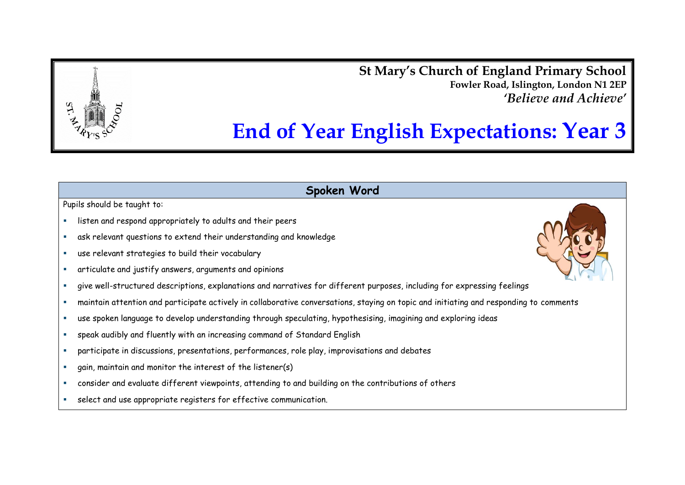**St Mary's Church of England Primary School Fowler Road, Islington, London N1 2EP** *'Believe and Achieve'*

# **End of Year English Expectations: Year 3**

#### **Spoken Word**

Pupils should be taught to:

- listen and respond appropriately to adults and their peers
- ask relevant questions to extend their understanding and knowledge
- use relevant strategies to build their vocabulary
- articulate and justify answers, arguments and opinions
- give well-structured descriptions, explanations and narratives for different purposes, including for expressing feelings
- maintain attention and participate actively in collaborative conversations, staying on topic and initiating and responding to comments
- use spoken language to develop understanding through speculating, hypothesising, imagining and exploring ideas
- speak audibly and fluently with an increasing command of Standard English
- participate in discussions, presentations, performances, role play, improvisations and debates
- gain, maintain and monitor the interest of the listener(s)
- consider and evaluate different viewpoints, attending to and building on the contributions of others
- select and use appropriate registers for effective communication.

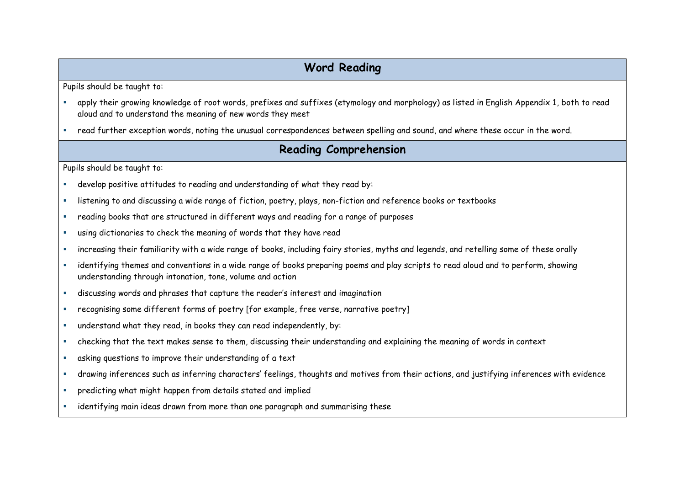## **Word Reading**

Pupils should be taught to:

- apply their growing knowledge of root words, prefixes and suffixes (etymology and morphology) as listed in English Appendix 1, both to read aloud and to understand the meaning of new words they meet
- read further exception words, noting the unusual correspondences between spelling and sound, and where these occur in the word.

### **Reading Comprehension**

Pupils should be taught to:

- develop positive attitudes to reading and understanding of what they read by:
- listening to and discussing a wide range of fiction, poetry, plays, non-fiction and reference books or textbooks
- reading books that are structured in different ways and reading for a range of purposes
- using dictionaries to check the meaning of words that they have read
- increasing their familiarity with a wide range of books, including fairy stories, myths and legends, and retelling some of these orally
- identifying themes and conventions in a wide range of books preparing poems and play scripts to read aloud and to perform, showing understanding through intonation, tone, volume and action
- discussing words and phrases that capture the reader's interest and imagination
- recognising some different forms of poetry [for example, free verse, narrative poetry]
- understand what they read, in books they can read independently, by:
- checking that the text makes sense to them, discussing their understanding and explaining the meaning of words in context
- asking questions to improve their understanding of a text
- drawing inferences such as inferring characters' feelings, thoughts and motives from their actions, and justifying inferences with evidence
- predicting what might happen from details stated and implied
- identifying main ideas drawn from more than one paragraph and summarising these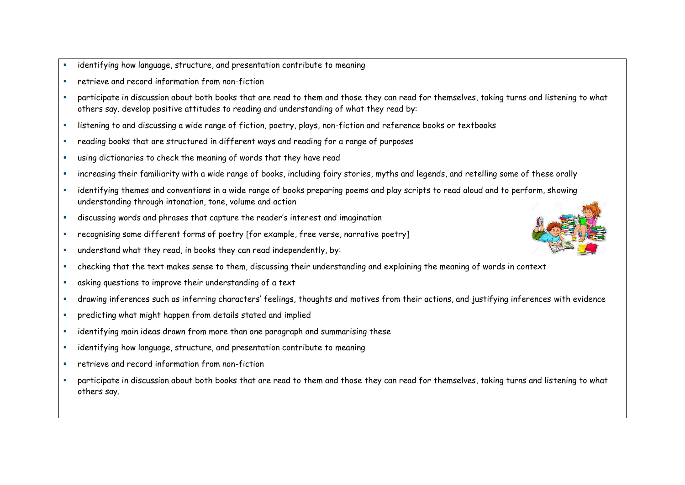- identifying how language, structure, and presentation contribute to meaning
- retrieve and record information from non-fiction
- participate in discussion about both books that are read to them and those they can read for themselves, taking turns and listening to what others say. develop positive attitudes to reading and understanding of what they read by:
- listening to and discussing a wide range of fiction, poetry, plays, non-fiction and reference books or textbooks
- reading books that are structured in different ways and reading for a range of purposes
- using dictionaries to check the meaning of words that they have read
- increasing their familiarity with a wide range of books, including fairy stories, myths and legends, and retelling some of these orally
- identifying themes and conventions in a wide range of books preparing poems and play scripts to read aloud and to perform, showing understanding through intonation, tone, volume and action
- discussing words and phrases that capture the reader's interest and imagination
- recognising some different forms of poetry [for example, free verse, narrative poetry]
- understand what they read, in books they can read independently, by:
- checking that the text makes sense to them, discussing their understanding and explaining the meaning of words in context
- asking questions to improve their understanding of a text
- drawing inferences such as inferring characters' feelings, thoughts and motives from their actions, and justifying inferences with evidence
- predicting what might happen from details stated and implied
- identifying main ideas drawn from more than one paragraph and summarising these
- identifying how language, structure, and presentation contribute to meaning
- retrieve and record information from non-fiction
- participate in discussion about both books that are read to them and those they can read for themselves, taking turns and listening to what others say.

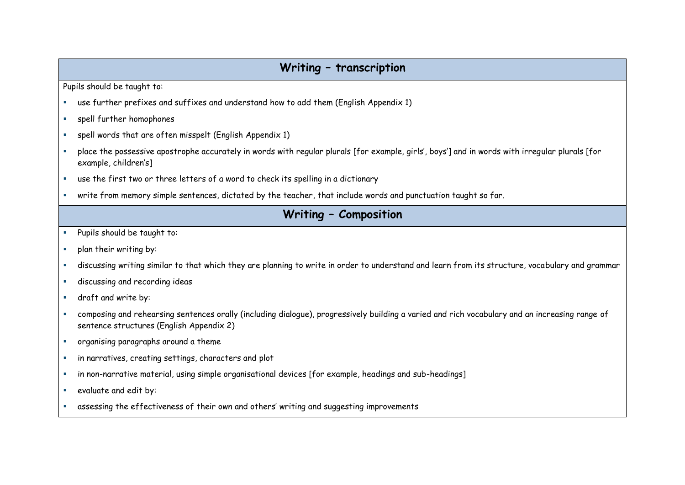### **Writing – transcription**

Pupils should be taught to:

- use further prefixes and suffixes and understand how to add them (English Appendix 1)
- spell further homophones
- spell words that are often misspelt (English Appendix 1)
- place the possessive apostrophe accurately in words with regular plurals [for example, girls', boys'] and in words with irregular plurals [for example, children's]
- use the first two or three letters of a word to check its spelling in a dictionary
- write from memory simple sentences, dictated by the teacher, that include words and punctuation taught so far.

## **Writing – Composition**

- Pupils should be taught to:
- plan their writing by:
- discussing writing similar to that which they are planning to write in order to understand and learn from its structure, vocabulary and grammar
- discussing and recording ideas
- draft and write by:
- composing and rehearsing sentences orally (including dialogue), progressively building a varied and rich vocabulary and an increasing range of sentence structures (English Appendix 2)
- organising paragraphs around a theme
- in narratives, creating settings, characters and plot
- in non-narrative material, using simple organisational devices [for example, headings and sub-headings]
- evaluate and edit by:
- assessing the effectiveness of their own and others' writing and suggesting improvements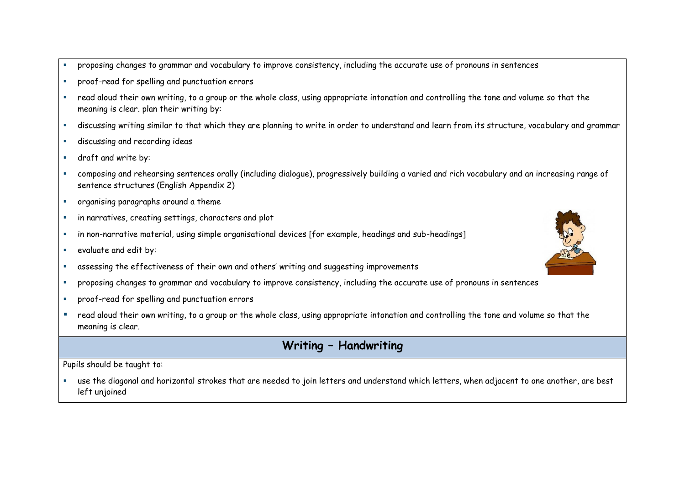- proposing changes to grammar and vocabulary to improve consistency, including the accurate use of pronouns in sentences
- proof-read for spelling and punctuation errors
- read aloud their own writing, to a group or the whole class, using appropriate intonation and controlling the tone and volume so that the meaning is clear. plan their writing by:
- discussing writing similar to that which they are planning to write in order to understand and learn from its structure, vocabulary and grammar
- discussing and recording ideas
- draft and write by:
- composing and rehearsing sentences orally (including dialogue), progressively building a varied and rich vocabulary and an increasing range of sentence structures (English Appendix 2)
- organising paragraphs around a theme
- in narratives, creating settings, characters and plot
- in non-narrative material, using simple organisational devices [for example, headings and sub-headings]
- evaluate and edit by:
- assessing the effectiveness of their own and others' writing and suggesting improvements
- proposing changes to grammar and vocabulary to improve consistency, including the accurate use of pronouns in sentences
- proof-read for spelling and punctuation errors
- read aloud their own writing, to a group or the whole class, using appropriate intonation and controlling the tone and volume so that the meaning is clear.

## **Writing – Handwriting**

Pupils should be taught to:

 use the diagonal and horizontal strokes that are needed to join letters and understand which letters, when adjacent to one another, are best left unjoined

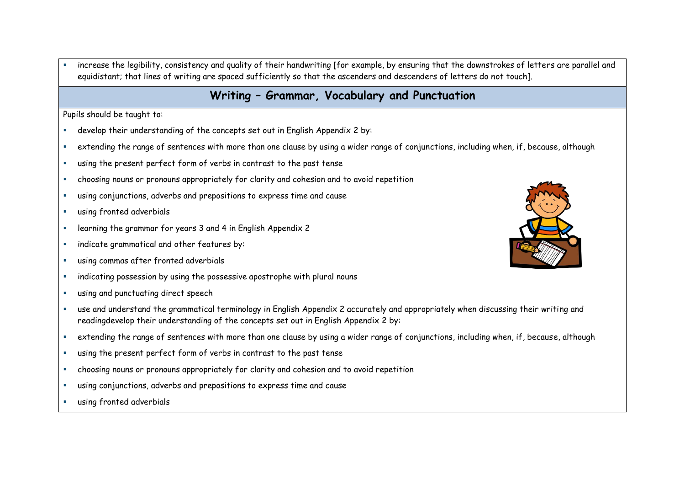increase the legibility, consistency and quality of their handwriting [for example, by ensuring that the downstrokes of letters are parallel and equidistant; that lines of writing are spaced sufficiently so that the ascenders and descenders of letters do not touch].

#### **Writing – Grammar, Vocabulary and Punctuation**

Pupils should be taught to:

- develop their understanding of the concepts set out in English Appendix 2 by:
- extending the range of sentences with more than one clause by using a wider range of conjunctions, including when, if, because, although
- using the present perfect form of verbs in contrast to the past tense
- choosing nouns or pronouns appropriately for clarity and cohesion and to avoid repetition
- using conjunctions, adverbs and prepositions to express time and cause
- using fronted adverbials
- learning the grammar for years 3 and 4 in English Appendix 2
- indicate grammatical and other features by:
- using commas after fronted adverbials
- indicating possession by using the possessive apostrophe with plural nouns
- **using and punctuating direct speech**
- use and understand the grammatical terminology in English Appendix 2 accurately and appropriately when discussing their writing and readingdevelop their understanding of the concepts set out in English Appendix 2 by:
- extending the range of sentences with more than one clause by using a wider range of conjunctions, including when, if, because, although
- using the present perfect form of verbs in contrast to the past tense
- choosing nouns or pronouns appropriately for clarity and cohesion and to avoid repetition
- using conjunctions, adverbs and prepositions to express time and cause
- using fronted adverbials